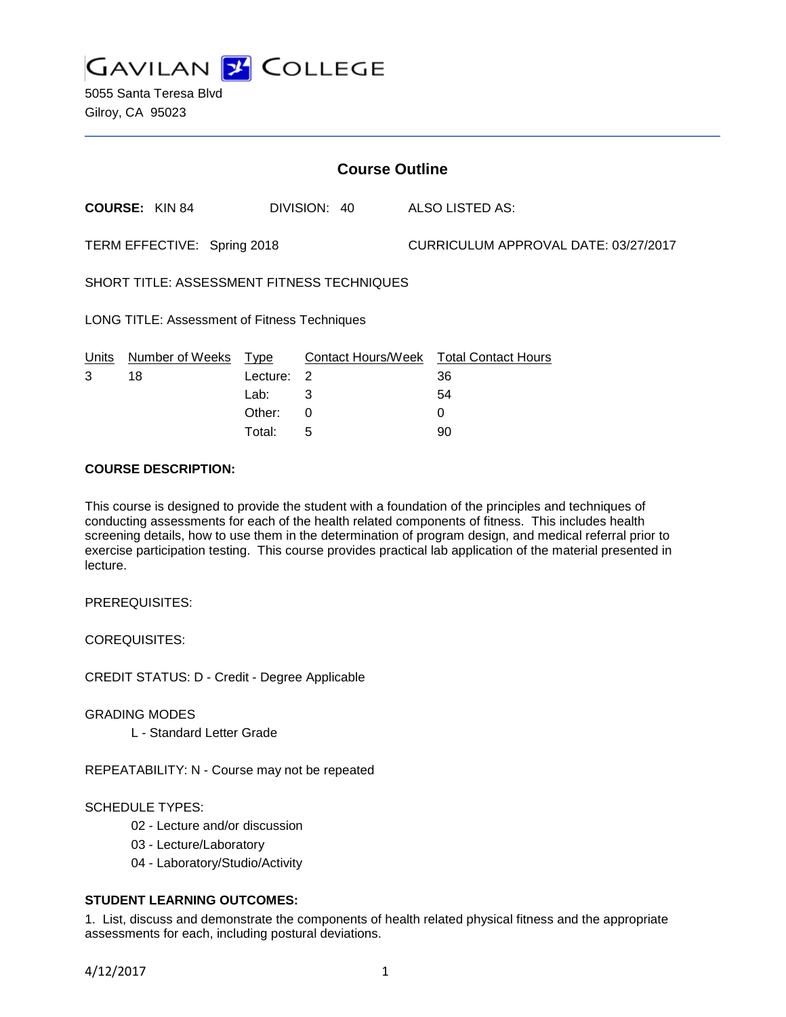

5055 Santa Teresa Blvd Gilroy, CA 95023

| <b>Course Outline</b>                               |                       |          |              |                                      |                                        |
|-----------------------------------------------------|-----------------------|----------|--------------|--------------------------------------|----------------------------------------|
|                                                     | <b>COURSE: KIN 84</b> |          | DIVISION: 40 |                                      | <b>ALSO LISTED AS:</b>                 |
| TERM EFFECTIVE: Spring 2018                         |                       |          |              | CURRICULUM APPROVAL DATE: 03/27/2017 |                                        |
| SHORT TITLE: ASSESSMENT FITNESS TECHNIQUES          |                       |          |              |                                      |                                        |
| <b>LONG TITLE: Assessment of Fitness Techniques</b> |                       |          |              |                                      |                                        |
| Units                                               | Number of Weeks Type  |          |              |                                      | Contact Hours/Week Total Contact Hours |
| 3                                                   | 18                    | Lecture: | 2            |                                      | 36                                     |
|                                                     |                       | Lab:     | 3            |                                      | 54                                     |
|                                                     |                       | Other:   | 0            |                                      | 0                                      |
|                                                     |                       | Total:   | 5            |                                      | 90                                     |

#### **COURSE DESCRIPTION:**

This course is designed to provide the student with a foundation of the principles and techniques of conducting assessments for each of the health related components of fitness. This includes health screening details, how to use them in the determination of program design, and medical referral prior to exercise participation testing. This course provides practical lab application of the material presented in lecture.

PREREQUISITES:

COREQUISITES:

CREDIT STATUS: D - Credit - Degree Applicable

GRADING MODES

L - Standard Letter Grade

REPEATABILITY: N - Course may not be repeated

SCHEDULE TYPES:

- 02 Lecture and/or discussion
- 03 Lecture/Laboratory
- 04 Laboratory/Studio/Activity

# **STUDENT LEARNING OUTCOMES:**

1. List, discuss and demonstrate the components of health related physical fitness and the appropriate assessments for each, including postural deviations.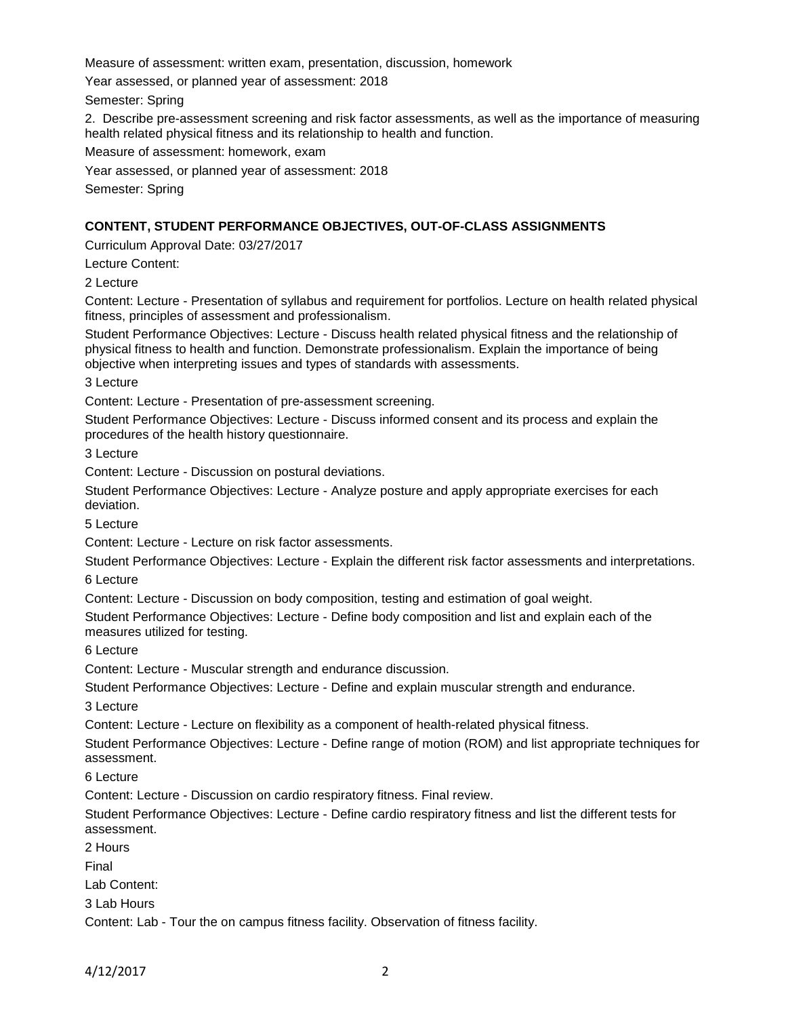Measure of assessment: written exam, presentation, discussion, homework

Year assessed, or planned year of assessment: 2018

Semester: Spring

2. Describe pre-assessment screening and risk factor assessments, as well as the importance of measuring health related physical fitness and its relationship to health and function.

Measure of assessment: homework, exam

Year assessed, or planned year of assessment: 2018

Semester: Spring

## **CONTENT, STUDENT PERFORMANCE OBJECTIVES, OUT-OF-CLASS ASSIGNMENTS**

Curriculum Approval Date: 03/27/2017

Lecture Content:

2 Lecture

Content: Lecture - Presentation of syllabus and requirement for portfolios. Lecture on health related physical fitness, principles of assessment and professionalism.

Student Performance Objectives: Lecture - Discuss health related physical fitness and the relationship of physical fitness to health and function. Demonstrate professionalism. Explain the importance of being objective when interpreting issues and types of standards with assessments.

3 Lecture

Content: Lecture - Presentation of pre-assessment screening.

Student Performance Objectives: Lecture - Discuss informed consent and its process and explain the procedures of the health history questionnaire.

3 Lecture

Content: Lecture - Discussion on postural deviations.

Student Performance Objectives: Lecture - Analyze posture and apply appropriate exercises for each deviation.

5 Lecture

Content: Lecture - Lecture on risk factor assessments.

Student Performance Objectives: Lecture - Explain the different risk factor assessments and interpretations.

6 Lecture

Content: Lecture - Discussion on body composition, testing and estimation of goal weight.

Student Performance Objectives: Lecture - Define body composition and list and explain each of the measures utilized for testing.

6 Lecture

Content: Lecture - Muscular strength and endurance discussion.

Student Performance Objectives: Lecture - Define and explain muscular strength and endurance.

3 Lecture

Content: Lecture - Lecture on flexibility as a component of health-related physical fitness.

Student Performance Objectives: Lecture - Define range of motion (ROM) and list appropriate techniques for assessment.

6 Lecture

Content: Lecture - Discussion on cardio respiratory fitness. Final review.

Student Performance Objectives: Lecture - Define cardio respiratory fitness and list the different tests for assessment.

2 Hours Final Lab Content: 3 Lab Hours Content: Lab - Tour the on campus fitness facility. Observation of fitness facility.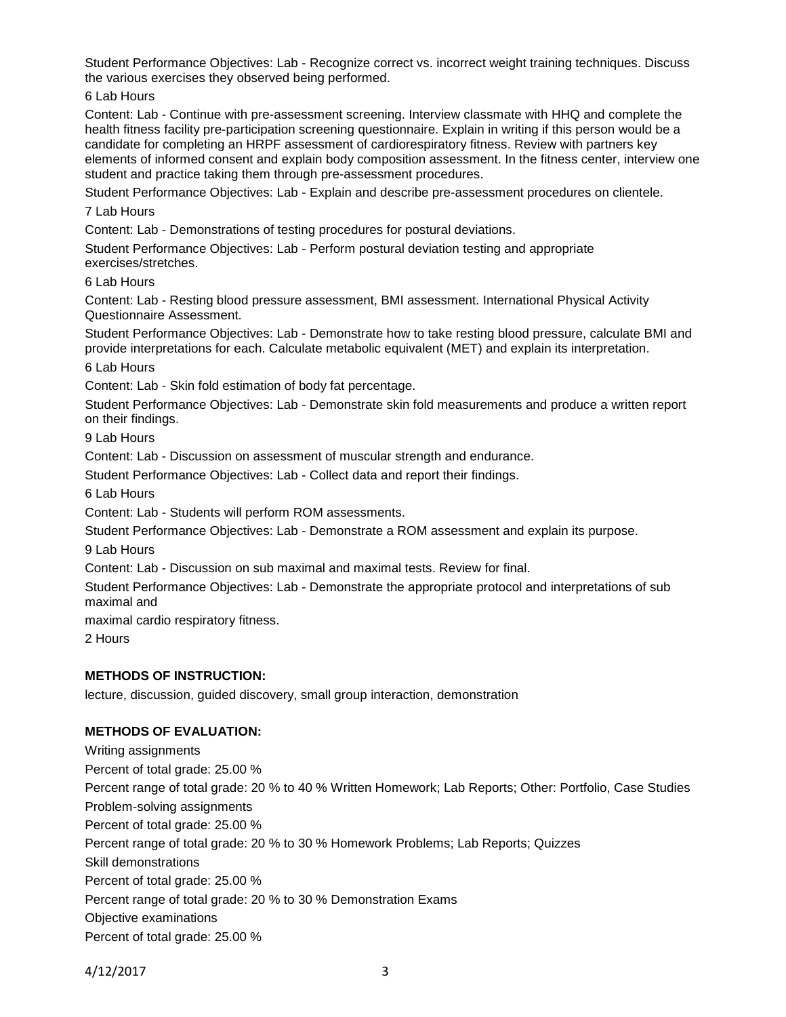Student Performance Objectives: Lab - Recognize correct vs. incorrect weight training techniques. Discuss the various exercises they observed being performed.

6 Lab Hours

Content: Lab - Continue with pre-assessment screening. Interview classmate with HHQ and complete the health fitness facility pre-participation screening questionnaire. Explain in writing if this person would be a candidate for completing an HRPF assessment of cardiorespiratory fitness. Review with partners key elements of informed consent and explain body composition assessment. In the fitness center, interview one student and practice taking them through pre-assessment procedures.

Student Performance Objectives: Lab - Explain and describe pre-assessment procedures on clientele.

7 Lab Hours

Content: Lab - Demonstrations of testing procedures for postural deviations.

Student Performance Objectives: Lab - Perform postural deviation testing and appropriate exercises/stretches.

6 Lab Hours

Content: Lab - Resting blood pressure assessment, BMI assessment. International Physical Activity Questionnaire Assessment.

Student Performance Objectives: Lab - Demonstrate how to take resting blood pressure, calculate BMI and provide interpretations for each. Calculate metabolic equivalent (MET) and explain its interpretation.

6 Lab Hours

Content: Lab - Skin fold estimation of body fat percentage.

Student Performance Objectives: Lab - Demonstrate skin fold measurements and produce a written report on their findings.

9 Lab Hours

Content: Lab - Discussion on assessment of muscular strength and endurance.

Student Performance Objectives: Lab - Collect data and report their findings.

6 Lab Hours

Content: Lab - Students will perform ROM assessments.

Student Performance Objectives: Lab - Demonstrate a ROM assessment and explain its purpose.

9 Lab Hours

Content: Lab - Discussion on sub maximal and maximal tests. Review for final.

Student Performance Objectives: Lab - Demonstrate the appropriate protocol and interpretations of sub maximal and

maximal cardio respiratory fitness.

2 Hours

### **METHODS OF INSTRUCTION:**

lecture, discussion, guided discovery, small group interaction, demonstration

### **METHODS OF EVALUATION:**

Writing assignments Percent of total grade: 25.00 % Percent range of total grade: 20 % to 40 % Written Homework; Lab Reports; Other: Portfolio, Case Studies Problem-solving assignments Percent of total grade: 25.00 % Percent range of total grade: 20 % to 30 % Homework Problems; Lab Reports; Quizzes Skill demonstrations Percent of total grade: 25.00 % Percent range of total grade: 20 % to 30 % Demonstration Exams Objective examinations Percent of total grade: 25.00 %

4/12/2017 3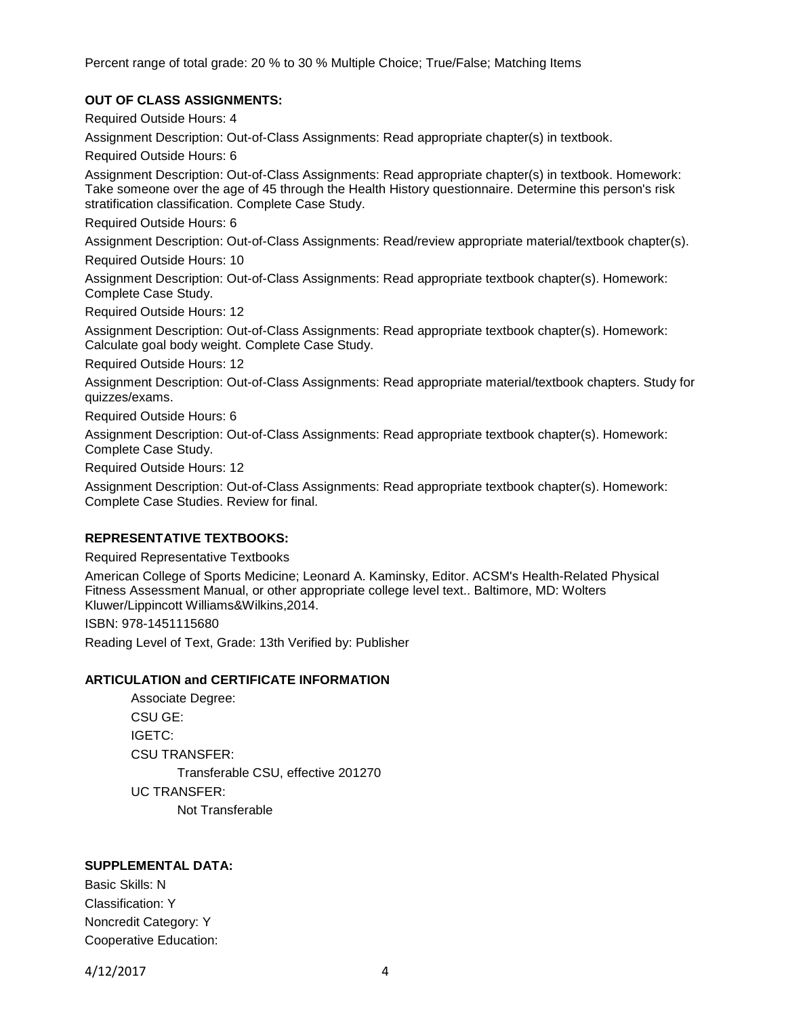Percent range of total grade: 20 % to 30 % Multiple Choice; True/False; Matching Items

## **OUT OF CLASS ASSIGNMENTS:**

Required Outside Hours: 4

Assignment Description: Out-of-Class Assignments: Read appropriate chapter(s) in textbook.

Required Outside Hours: 6

Assignment Description: Out-of-Class Assignments: Read appropriate chapter(s) in textbook. Homework: Take someone over the age of 45 through the Health History questionnaire. Determine this person's risk stratification classification. Complete Case Study.

Required Outside Hours: 6

Assignment Description: Out-of-Class Assignments: Read/review appropriate material/textbook chapter(s).

Required Outside Hours: 10

Assignment Description: Out-of-Class Assignments: Read appropriate textbook chapter(s). Homework: Complete Case Study.

Required Outside Hours: 12

Assignment Description: Out-of-Class Assignments: Read appropriate textbook chapter(s). Homework: Calculate goal body weight. Complete Case Study.

Required Outside Hours: 12

Assignment Description: Out-of-Class Assignments: Read appropriate material/textbook chapters. Study for quizzes/exams.

Required Outside Hours: 6

Assignment Description: Out-of-Class Assignments: Read appropriate textbook chapter(s). Homework: Complete Case Study.

Required Outside Hours: 12

Assignment Description: Out-of-Class Assignments: Read appropriate textbook chapter(s). Homework: Complete Case Studies. Review for final.

#### **REPRESENTATIVE TEXTBOOKS:**

Required Representative Textbooks

American College of Sports Medicine; Leonard A. Kaminsky, Editor. ACSM's Health-Related Physical Fitness Assessment Manual, or other appropriate college level text.. Baltimore, MD: Wolters Kluwer/Lippincott Williams&Wilkins,2014.

ISBN: 978-1451115680

Reading Level of Text, Grade: 13th Verified by: Publisher

### **ARTICULATION and CERTIFICATE INFORMATION**

Associate Degree: CSU GE: IGETC: CSU TRANSFER: Transferable CSU, effective 201270 UC TRANSFER: Not Transferable

### **SUPPLEMENTAL DATA:**

Basic Skills: N Classification: Y Noncredit Category: Y Cooperative Education:

4/12/2017 4